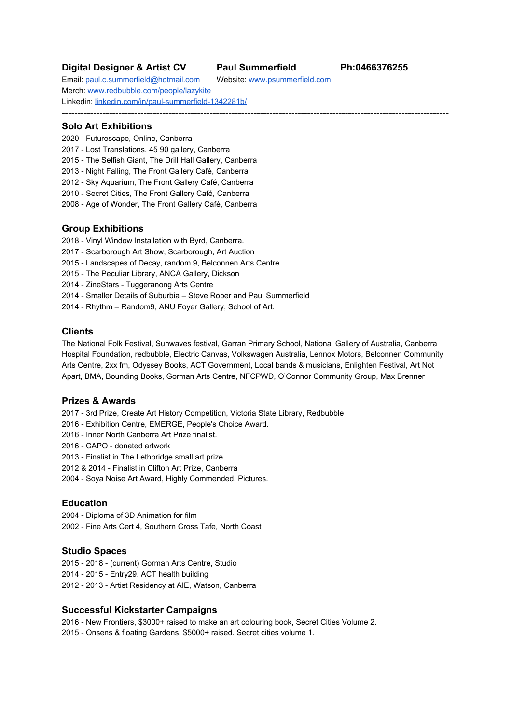# **Digital Designer & Artist CV Paul Summerfield Ph:0466376255**

---------------------------------------------------------------------------------------------------------------------------

Email: [paul.c.summerfield@hotmail.com](mailto:paul.c.summerfield@gmail.com) Website: [www.psummerfield.com](http://www.psummerfield.com/) Merch: [www.redbubble.com/people/lazykite](http://www.redbubble.com/people/lazykite) Linkedin: [linkedin.com/in/paul-summerfield-1342281b/](http://www.linkedin.com/in/paul-summerfield-1342281b/)

## **Solo Art Exhibitions**

- 2020 Futurescape, Online, Canberra
- 2017 Lost Translations, 45 90 gallery, Canberra
- 2015 The Selfish Giant, The Drill Hall Gallery, Canberra
- 2013 Night Falling, The Front Gallery Café, Canberra
- 2012 Sky Aquarium, The Front Gallery Café, Canberra
- 2010 Secret Cities, The Front Gallery Café, Canberra
- 2008 Age of Wonder, The Front Gallery Café, Canberra

### **Group Exhibitions**

- 2018 Vinyl Window Installation with Byrd, Canberra.
- 2017 Scarborough Art Show, Scarborough, Art Auction
- 2015 Landscapes of Decay, random 9, Belconnen Arts Centre
- 2015 The Peculiar Library, ANCA Gallery, Dickson
- 2014 ZineStars Tuggeranong Arts Centre
- 2014 Smaller Details of Suburbia Steve Roper and Paul Summerfield
- 2014 Rhythm Random9, ANU Foyer Gallery, School of Art.

# **Clients**

The National Folk Festival, Sunwaves festival, Garran Primary School, National Gallery of Australia, Canberra Hospital Foundation, redbubble, Electric Canvas, Volkswagen Australia, Lennox Motors, Belconnen Community Arts Centre, 2xx fm, Odyssey Books, ACT Government, Local bands & musicians, Enlighten Festival, Art Not Apart, BMA, Bounding Books, Gorman Arts Centre, NFCPWD, O'Connor Community Group, Max Brenner

### **Prizes & Awards**

- 2017 3rd Prize, Create Art History Competition, Victoria State Library, Redbubble
- 2016 Exhibition Centre, EMERGE, People's Choice Award.
- 2016 Inner North Canberra Art Prize finalist.
- 2016 CAPO donated artwork
- 2013 Finalist in The Lethbridge small art prize.
- 2012 & 2014 Finalist in Clifton Art Prize, Canberra
- 2004 Soya Noise Art Award, Highly Commended, Pictures.

# **Education**

- 2004 Diploma of 3D Animation for film
- 2002 Fine Arts Cert 4, Southern Cross Tafe, North Coast

# **Studio Spaces**

- 2015 2018 (current) Gorman Arts Centre, Studio
- 2014 2015 Entry29. ACT health building
- 2012 2013 Artist Residency at AIE, Watson, Canberra

# **Successful Kickstarter Campaigns**

2016 - New Frontiers, \$3000+ raised to make an art colouring book, Secret Cities Volume 2. 2015 - Onsens & floating Gardens, \$5000+ raised. Secret cities volume 1.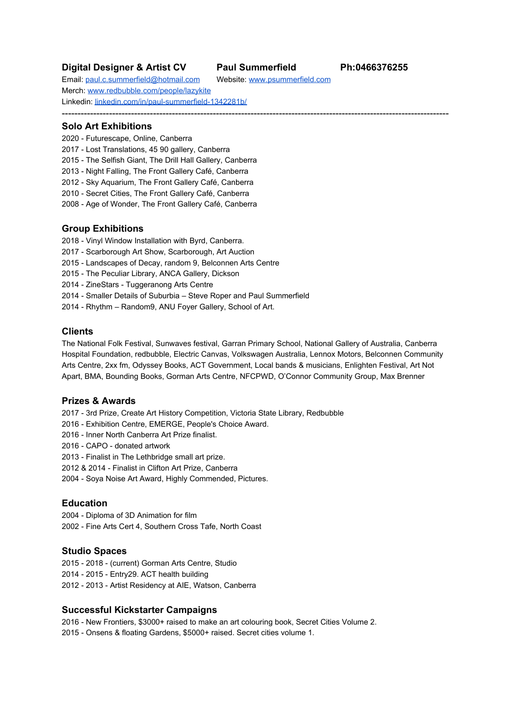### **Commissions**

- 2019 The Haig Park Project, illustrations and branding design. Used across whole project.
- 2019 Cre8tive design studio, Major project branding illustrations for ACT GOV
- 2017 2020 National Folk Festival branding, Annual Poster artwork, T-Shirts designs
- 2017 2018 Garran Primary School, 2 x installed wallpaper murals, reception.
- 2017 Sunwaves music festival, branding and logo concepts, Baha Agency
- 2017 Floriade Festival, 4 x Bus wrap artwork designs. Buses for floriade promotion.
- 2017 Urban renewal department, map of Haig park and city. ACT GOV
- 2016 ACTION CANBERRA CBD map, Federal Government
- 2016 Illustration for The National Gallery of Australia, Children's Activity sheets.
- 2013 2018 Private commissions (life portraits, house portraits.
- 2016 Commissioned artwork for car stickers and prints.
- 2015 Commissioned artwork for car stickers and prints.
- 2015 Canberra Hospital 8 m x 3 m mural, Vinyl wallpaper, Adolescents ward.
- 2015 Canberra Hospital outdoor mural using a UV resistant wallpaper.
- 2015 Volkswagen Community Drive. Car artwork wrap and raffled off for the charity.
- 2013 Lonsdale Street Roasters 3 panel mural Cafe, designed takeaway cups.
- 2013 2015 Interpreting an Oscar Wild kids story.
- 2014 Temporary Paste-up mural for Max Brenner, Nishi Building. 8 m x 3 m approx.

#### **Album Covers & Posters**

- 2018 Benji & The Saltwater Sound System, EP album cover artwork and design.
- 2017 Elrais, EP cover, design and layout, electronica
- 2016 Callum Henshaw, Echo & Return, design and illustration
- 2016 Happy Axe, EP cover and promotional artwork, animation

Benji & the Saltwater Sound System, Southerly Change, Andie & George Band, Mr. Fibby, Jane Harding, Ben Whitaker, Bad Slam No Biscuit, Tom Woodward

### **Publications & Book Covers**

In Response to Bridges, Suddenly Curving Space Time, Cardboard: A woman left for dead, many others, Limited edition artist books, The Selfish Giant, An interpretation by Paul Summerfield, Written by Oscar Wilde, illustrations for 2017 Sustainability conference in UK, Book & artworks exhibited at The Drill Hall Gallery in 2015.

#### **Video Games**

2014 - 2016 - WARDEN: Melody of the undergrowth. Early Conceptual artworks and character concepts

#### **Workshops**

2017 - 2018 - ACT Libraries, Bookplate workshops

#### **video productions & design projects**

The Selfish Giant Animated story - <https://www.youtube.com/watch?v=b0jW-b-b-IM> House Portrait Animation -<https://www.youtube.com/watch?v=IJYiNf-18Nw> Throsby & Suburban Land Agency - <https://suburbanland.act.gov.au/throsby> Folk Festival ad- <https://www.facebook.com/folkfestival/videos/325414261660950/>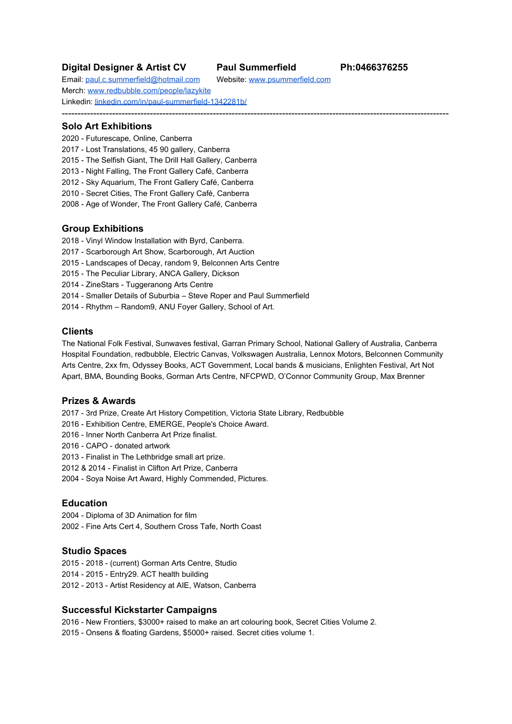

Paul Summerfield - Digital Designer - Illustrator - Visual Communicator - Artist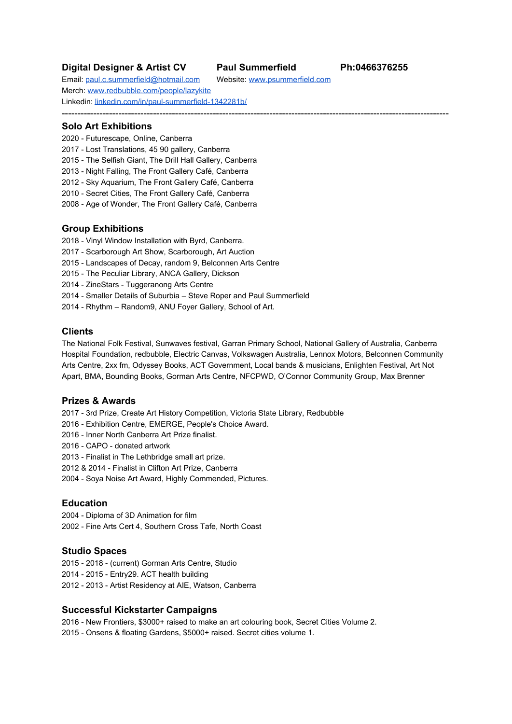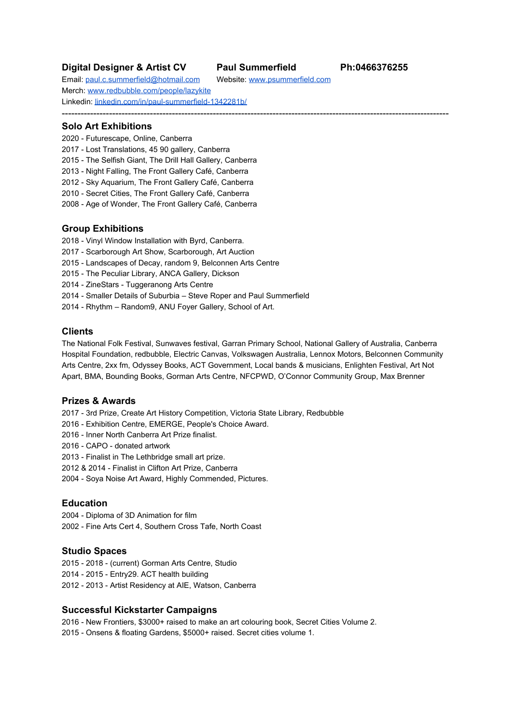



# **Stepping into a world of fantasy**

#### By Mary Lynn Mather

Stepping onto the veranda of the Canberra<br>Hospital's adolescent ward is like entering a<br>magical world. . . . . . . . . . . . . . .

The extended balcony boasts a colourful<br>mural, the work of local digital artist Paul<br>Summerfield and sponsored by Peter Munday, of Lennock Volkswagen.

Called River of Dreams, it is an imaginative portrait of the medical environment, filled with<br>recognisable objects yet evoking wonder and a<br>sense of discovery.

The large picture was designed for the